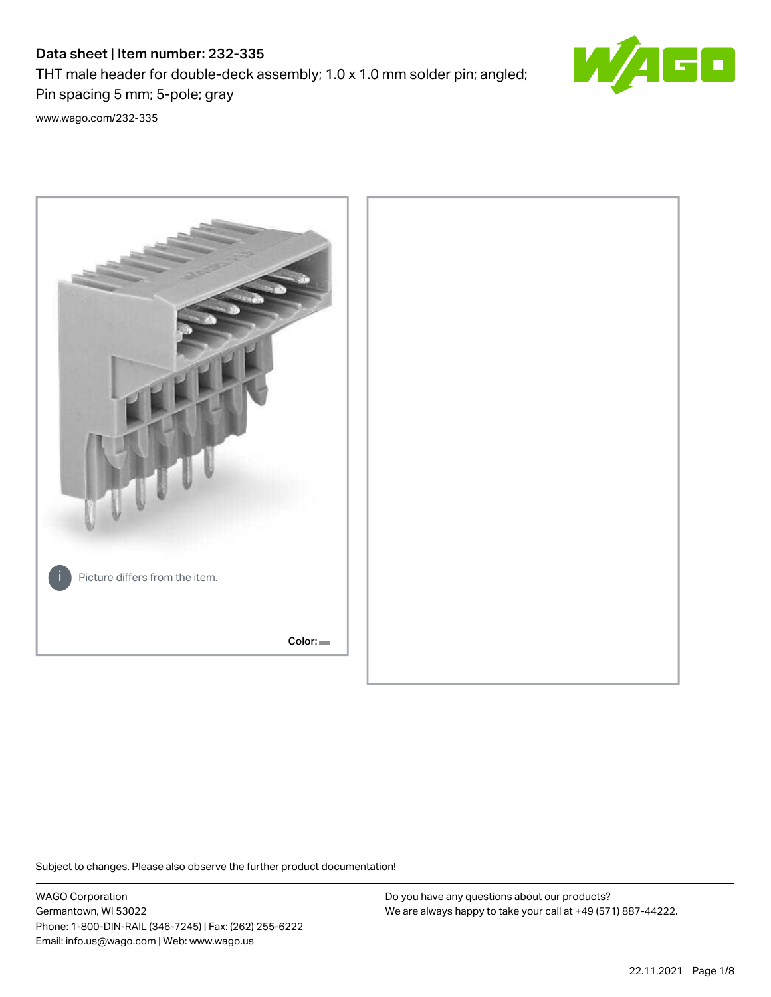# Data sheet | Item number: 232-335

THT male header for double-deck assembly; 1.0 x 1.0 mm solder pin; angled; Pin spacing 5 mm; 5-pole; gray



[www.wago.com/232-335](http://www.wago.com/232-335)



Subject to changes. Please also observe the further product documentation!

WAGO Corporation Germantown, WI 53022 Phone: 1-800-DIN-RAIL (346-7245) | Fax: (262) 255-6222 Email: info.us@wago.com | Web: www.wago.us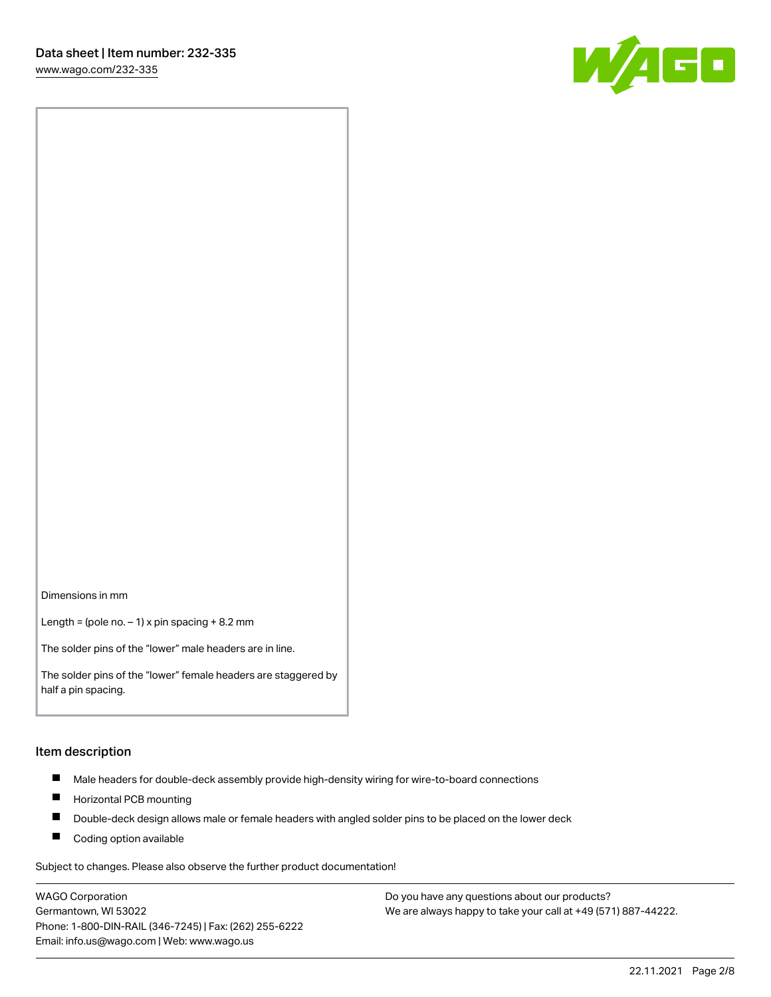

Dimensions in mm

Length = (pole no.  $-1$ ) x pin spacing + 8.2 mm

The solder pins of the "lower" male headers are in line.

The solder pins of the "lower" female headers are staggered by half a pin spacing.

#### Item description

- $\blacksquare$ Male headers for double-deck assembly provide high-density wiring for wire-to-board connections
- $\blacksquare$ Horizontal PCB mounting
- $\blacksquare$ Double-deck design allows male or female headers with angled solder pins to be placed on the lower deck
- $\blacksquare$ Coding option available

Subject to changes. Please also observe the further product documentation!

WAGO Corporation Germantown, WI 53022 Phone: 1-800-DIN-RAIL (346-7245) | Fax: (262) 255-6222 Email: info.us@wago.com | Web: www.wago.us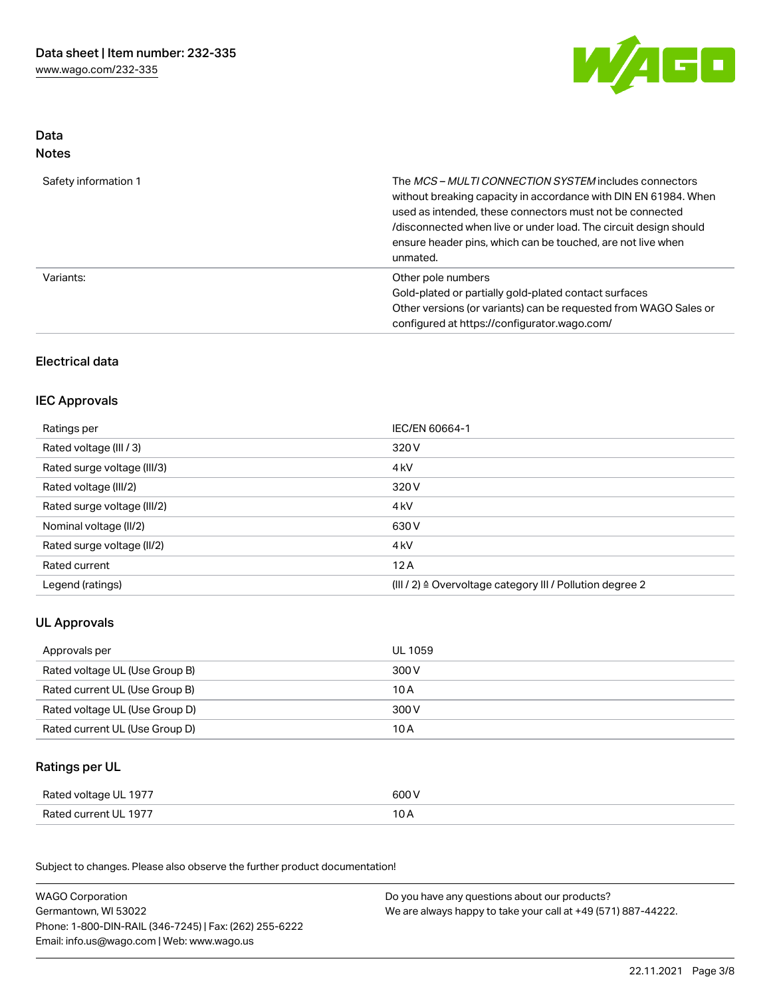

## Data Notes

| Safety information 1 | The MCS-MULTI CONNECTION SYSTEM includes connectors<br>without breaking capacity in accordance with DIN EN 61984. When<br>used as intended, these connectors must not be connected<br>/disconnected when live or under load. The circuit design should<br>ensure header pins, which can be touched, are not live when<br>unmated. |
|----------------------|-----------------------------------------------------------------------------------------------------------------------------------------------------------------------------------------------------------------------------------------------------------------------------------------------------------------------------------|
| Variants:            | Other pole numbers<br>Gold-plated or partially gold-plated contact surfaces<br>Other versions (or variants) can be requested from WAGO Sales or<br>configured at https://configurator.wago.com/                                                                                                                                   |

## Electrical data

## IEC Approvals

| Ratings per                 | IEC/EN 60664-1                                                        |
|-----------------------------|-----------------------------------------------------------------------|
| Rated voltage (III / 3)     | 320 V                                                                 |
| Rated surge voltage (III/3) | 4 <sub>k</sub> V                                                      |
| Rated voltage (III/2)       | 320 V                                                                 |
| Rated surge voltage (III/2) | 4 <sub>k</sub> V                                                      |
| Nominal voltage (II/2)      | 630 V                                                                 |
| Rated surge voltage (II/2)  | 4 <sub>k</sub> V                                                      |
| Rated current               | 12A                                                                   |
| Legend (ratings)            | $(III / 2)$ $\triangle$ Overvoltage category III / Pollution degree 2 |

# UL Approvals

| Approvals per                  | UL 1059 |
|--------------------------------|---------|
| Rated voltage UL (Use Group B) | 300 V   |
| Rated current UL (Use Group B) | 10 A    |
| Rated voltage UL (Use Group D) | 300 V   |
| Rated current UL (Use Group D) | 10 A    |

# Ratings per UL

| - 1977<br>Rated voltage UL | 600 V          |
|----------------------------|----------------|
| Rated current UL 1977      | $\sim$<br>IO A |

Subject to changes. Please also observe the further product documentation!

| <b>WAGO Corporation</b>                                | Do you have any questions about our products?                 |
|--------------------------------------------------------|---------------------------------------------------------------|
| Germantown, WI 53022                                   | We are always happy to take your call at +49 (571) 887-44222. |
| Phone: 1-800-DIN-RAIL (346-7245)   Fax: (262) 255-6222 |                                                               |
| Email: info.us@wago.com   Web: www.wago.us             |                                                               |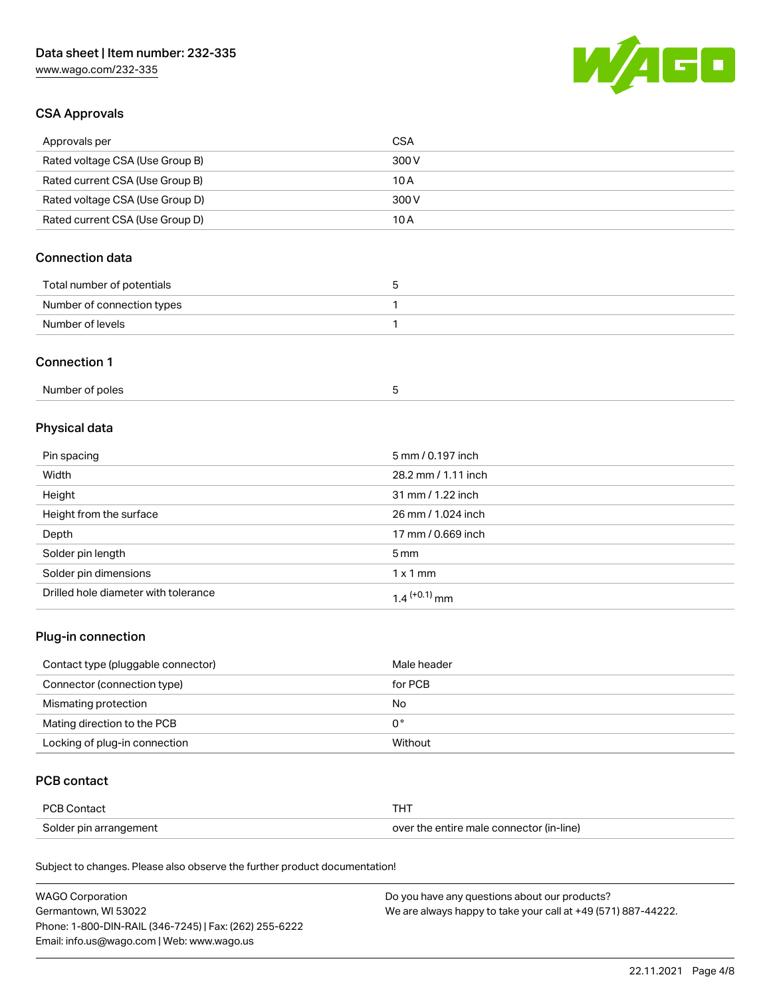# Data sheet | Item number: 232-335

[www.wago.com/232-335](http://www.wago.com/232-335)



## CSA Approvals

| Approvals per                   | CSA   |
|---------------------------------|-------|
| Rated voltage CSA (Use Group B) | 300 V |
| Rated current CSA (Use Group B) | 10 A  |
| Rated voltage CSA (Use Group D) | 300 V |
| Rated current CSA (Use Group D) | 10 A  |

# Connection data

| Total number of potentials |  |
|----------------------------|--|
| Number of connection types |  |
| Number of levels           |  |

#### Connection 1

| Number of poles |  |
|-----------------|--|
|-----------------|--|

# Physical data

| Pin spacing                          | 5 mm / 0.197 inch   |
|--------------------------------------|---------------------|
| Width                                | 28.2 mm / 1.11 inch |
| Height                               | 31 mm / 1.22 inch   |
| Height from the surface              | 26 mm / 1.024 inch  |
| Depth                                | 17 mm / 0.669 inch  |
| Solder pin length                    | $5 \,\mathrm{mm}$   |
| Solder pin dimensions                | $1 \times 1$ mm     |
| Drilled hole diameter with tolerance | $1.4$ $(+0.1)$ mm   |

## Plug-in connection

| Contact type (pluggable connector) | Male header |
|------------------------------------|-------------|
| Connector (connection type)        | for PCB     |
| Mismating protection               | No          |
| Mating direction to the PCB        | 0°          |
| Locking of plug-in connection      | Without     |

### PCB contact

| <b>PCB Contact</b>     | <b>THT</b>                               |
|------------------------|------------------------------------------|
| Solder pin arrangement | over the entire male connector (in-line) |

Subject to changes. Please also observe the further product documentation!

| <b>WAGO Corporation</b>                                | Do you have any questions about our products?                 |
|--------------------------------------------------------|---------------------------------------------------------------|
| Germantown, WI 53022                                   | We are always happy to take your call at +49 (571) 887-44222. |
| Phone: 1-800-DIN-RAIL (346-7245)   Fax: (262) 255-6222 |                                                               |
| Email: info.us@wago.com   Web: www.wago.us             |                                                               |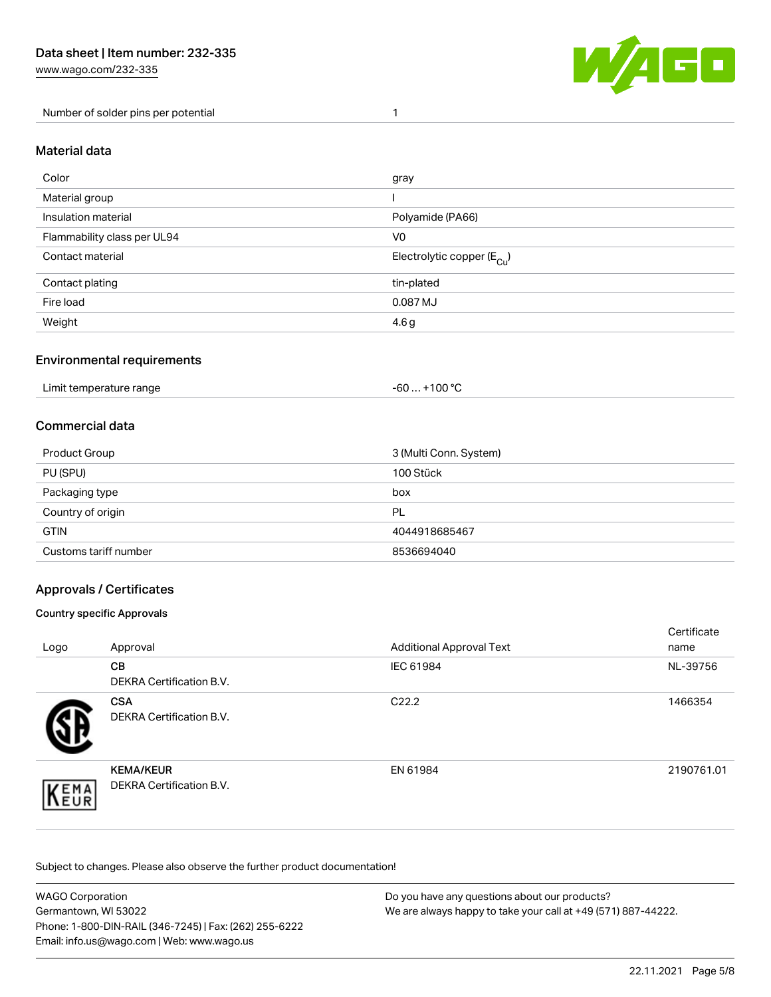[www.wago.com/232-335](http://www.wago.com/232-335)

Number of solder pins per potential 1



#### Material data

| Color                       | gray                                   |
|-----------------------------|----------------------------------------|
| Material group              |                                        |
| Insulation material         | Polyamide (PA66)                       |
| Flammability class per UL94 | V <sub>0</sub>                         |
| Contact material            | Electrolytic copper (E <sub>Cu</sub> ) |
| Contact plating             | tin-plated                             |
| Fire load                   | 0.087 MJ                               |
| Weight                      | 4.6 <sub>g</sub>                       |

### Environmental requirements

Limit temperature range  $-60... +100$  °C

### Commercial data

| Product Group         | 3 (Multi Conn. System) |
|-----------------------|------------------------|
| PU (SPU)              | 100 Stück              |
| Packaging type        | box                    |
| Country of origin     | PL                     |
| <b>GTIN</b>           | 4044918685467          |
| Customs tariff number | 8536694040             |

## Approvals / Certificates

#### Country specific Approvals

| Logo               | Approval                                            | <b>Additional Approval Text</b> | Certificate<br>name |
|--------------------|-----------------------------------------------------|---------------------------------|---------------------|
|                    | <b>CB</b><br><b>DEKRA Certification B.V.</b>        | IEC 61984                       | NL-39756            |
|                    | <b>CSA</b><br>DEKRA Certification B.V.              | C <sub>22.2</sub>               | 1466354             |
| EMA<br><b>NEUR</b> | <b>KEMA/KEUR</b><br><b>DEKRA Certification B.V.</b> | EN 61984                        | 2190761.01          |

Subject to changes. Please also observe the further product documentation!

| <b>WAGO Corporation</b>                                | Do you have any questions about our products?                 |
|--------------------------------------------------------|---------------------------------------------------------------|
| Germantown, WI 53022                                   | We are always happy to take your call at +49 (571) 887-44222. |
| Phone: 1-800-DIN-RAIL (346-7245)   Fax: (262) 255-6222 |                                                               |
| Email: info.us@wago.com   Web: www.wago.us             |                                                               |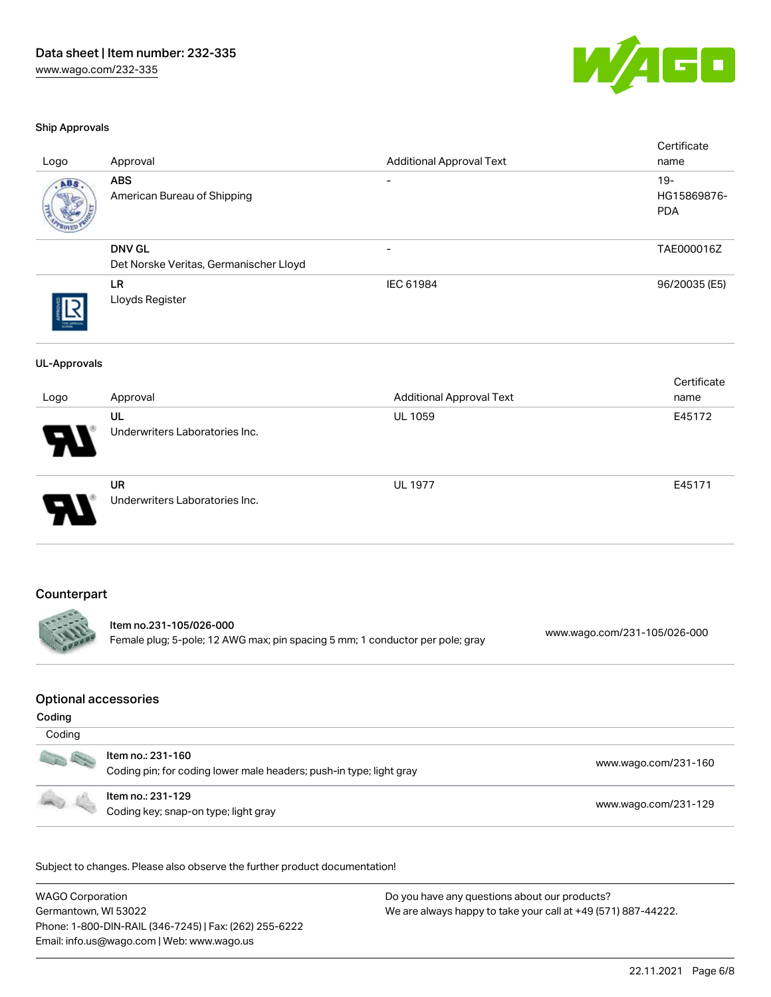

#### Ship Approvals

| Logo                        | Approval                                                                                 | <b>Additional Approval Text</b> | Certificate<br>name                 |
|-----------------------------|------------------------------------------------------------------------------------------|---------------------------------|-------------------------------------|
|                             | <b>ABS</b><br>American Bureau of Shipping                                                |                                 | $19 -$<br>HG15869876-<br><b>PDA</b> |
|                             | <b>DNV GL</b><br>Det Norske Veritas, Germanischer Lloyd                                  | $\overline{\phantom{a}}$        | TAE000016Z                          |
|                             | LR<br>Lloyds Register                                                                    | IEC 61984                       | 96/20035 (E5)                       |
| <b>UL-Approvals</b>         |                                                                                          |                                 |                                     |
| Logo                        | Approval                                                                                 | <b>Additional Approval Text</b> | Certificate<br>name                 |
|                             | UL<br>Underwriters Laboratories Inc.                                                     | <b>UL 1059</b>                  | E45172                              |
|                             | <b>UR</b><br>Underwriters Laboratories Inc.                                              | <b>UL 1977</b>                  | E45171                              |
| Counterpart                 | Item no.231-105/026-000                                                                  |                                 |                                     |
|                             | Female plug; 5-pole; 12 AWG max; pin spacing 5 mm; 1 conductor per pole; gray            |                                 | www.wago.com/231-105/026-000        |
| <b>Optional accessories</b> |                                                                                          |                                 |                                     |
| Coding                      |                                                                                          |                                 |                                     |
| Coding                      |                                                                                          |                                 |                                     |
|                             | Item no.: 231-160<br>Coding pin; for coding lower male headers; push-in type; light gray |                                 | www.wago.com/231-160                |
|                             | Item no.: 231-129<br>Coding key; snap-on type; light gray                                |                                 | www.wago.com/231-129                |
|                             |                                                                                          |                                 |                                     |

Subject to changes. Please also observe the further product documentation!

WAGO Corporation Germantown, WI 53022 Phone: 1-800-DIN-RAIL (346-7245) | Fax: (262) 255-6222 Email: info.us@wago.com | Web: www.wago.us Do you have any questions about our products? We are always happy to take your call at +49 (571) 887-44222.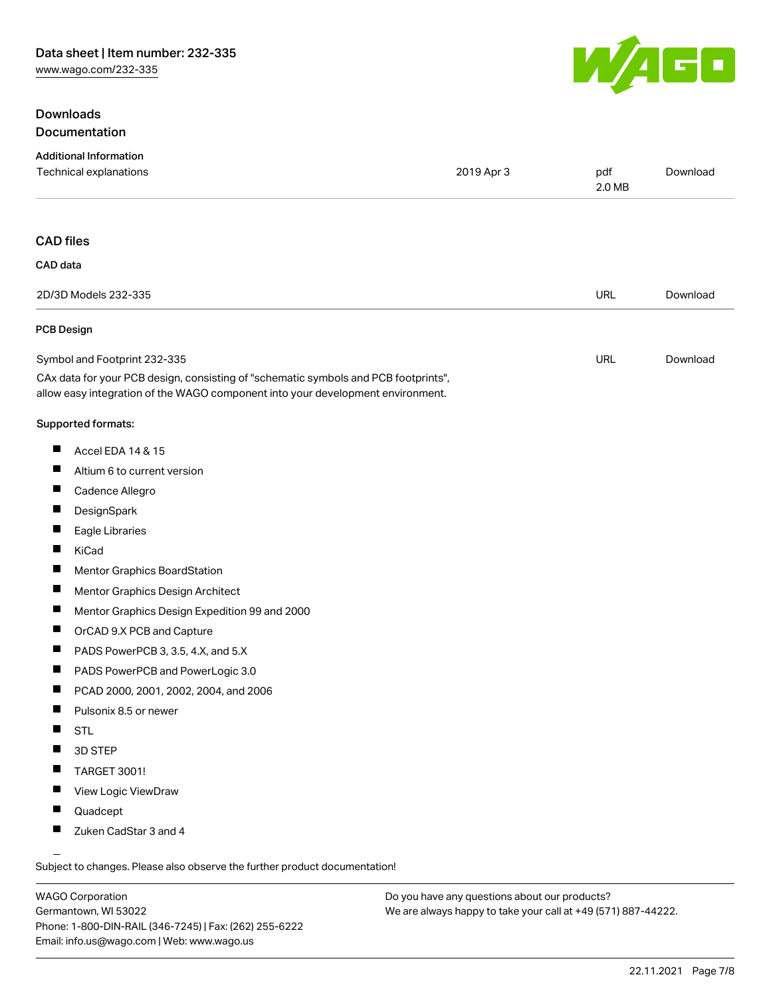## Downloads Documentation



| <b>Additional Information</b><br>Technical explanations                                                                                                                | 2019 Apr 3 | pdf<br>2.0 MB | Download |
|------------------------------------------------------------------------------------------------------------------------------------------------------------------------|------------|---------------|----------|
| <b>CAD files</b>                                                                                                                                                       |            |               |          |
| CAD data                                                                                                                                                               |            |               |          |
| 2D/3D Models 232-335                                                                                                                                                   |            | <b>URL</b>    | Download |
| <b>PCB Design</b>                                                                                                                                                      |            |               |          |
| Symbol and Footprint 232-335                                                                                                                                           |            | URL           | Download |
| CAx data for your PCB design, consisting of "schematic symbols and PCB footprints",<br>allow easy integration of the WAGO component into your development environment. |            |               |          |
| Supported formats:                                                                                                                                                     |            |               |          |
| ш<br>Accel EDA 14 & 15                                                                                                                                                 |            |               |          |
| ш<br>Altium 6 to current version                                                                                                                                       |            |               |          |
| Cadence Allegro                                                                                                                                                        |            |               |          |
| ш<br>DesignSpark                                                                                                                                                       |            |               |          |
| ш<br>Eagle Libraries                                                                                                                                                   |            |               |          |
| KiCad                                                                                                                                                                  |            |               |          |
| $\blacksquare$<br>Mentor Graphics BoardStation                                                                                                                         |            |               |          |
| ш<br>Mentor Graphics Design Architect                                                                                                                                  |            |               |          |
| Mentor Graphics Design Expedition 99 and 2000                                                                                                                          |            |               |          |
| $\blacksquare$<br>OrCAD 9.X PCB and Capture                                                                                                                            |            |               |          |
| ш<br>PADS PowerPCB 3, 3.5, 4.X, and 5.X                                                                                                                                |            |               |          |
| Ш<br>PADS PowerPCB and PowerLogic 3.0                                                                                                                                  |            |               |          |
| $\blacksquare$<br>PCAD 2000, 2001, 2002, 2004, and 2006                                                                                                                |            |               |          |
| ш<br>Pulsonix 8.5 or newer                                                                                                                                             |            |               |          |
| <b>STL</b><br>Ш                                                                                                                                                        |            |               |          |
| 3D STEP                                                                                                                                                                |            |               |          |
| TARGET 3001!                                                                                                                                                           |            |               |          |
| ш<br>View Logic ViewDraw                                                                                                                                               |            |               |          |
| ш<br>Quadcept                                                                                                                                                          |            |               |          |
| Zuken CadStar 3 and 4                                                                                                                                                  |            |               |          |

WAGO Corporation Germantown, WI 53022 Phone: 1-800-DIN-RAIL (346-7245) | Fax: (262) 255-6222 Email: info.us@wago.com | Web: www.wago.us